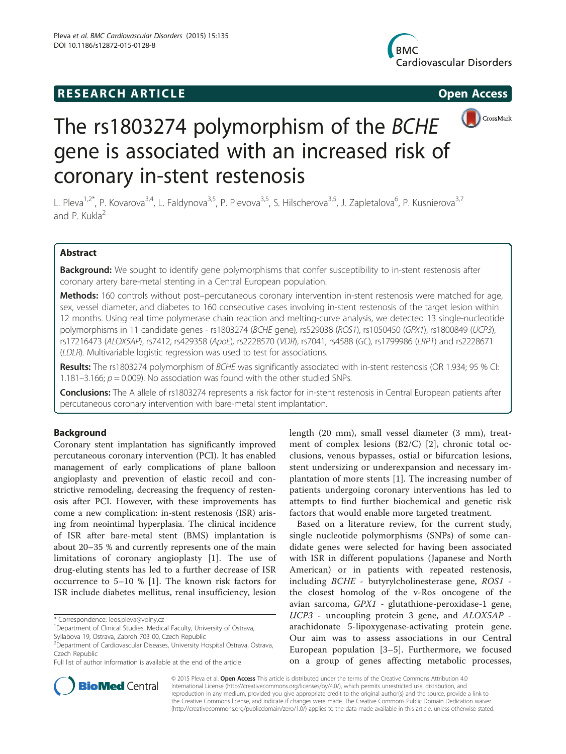# **RESEARCH ARTICLE Example 2014 12:30 The SEAR CHA R TIGGS**





# The rs1803274 polymorphism of the BCHE gene is associated with an increased risk of coronary in-stent restenosis

L. Pleva<sup>1,2\*</sup>, P. Kovarova<sup>3,4</sup>, L. Faldynova<sup>3,5</sup>, P. Plevova<sup>3,5</sup>, S. Hilscherova<sup>3,5</sup>, J. Zapletalova<sup>6</sup>, P. Kusnierova<sup>3,7</sup> and P. Kukla<sup>2</sup>

# Abstract

Background: We sought to identify gene polymorphisms that confer susceptibility to in-stent restenosis after coronary artery bare-metal stenting in a Central European population.

Methods: 160 controls without post–percutaneous coronary intervention in-stent restenosis were matched for age, sex, vessel diameter, and diabetes to 160 consecutive cases involving in-stent restenosis of the target lesion within 12 months. Using real time polymerase chain reaction and melting-curve analysis, we detected 13 single-nucleotide polymorphisms in 11 candidate genes - rs1803274 (BCHE gene), rs529038 (ROS1), rs1050450 (GPX1), rs1800849 (UCP3), rs17216473 (ALOX5AP), rs7412, rs429358 (ApoE), rs2228570 (VDR), rs7041, rs4588 (GC), rs1799986 (LRP1) and rs2228671 (LDLR). Multivariable logistic regression was used to test for associations.

Results: The rs1803274 polymorphism of BCHE was significantly associated with in-stent restenosis (OR 1.934; 95 % CI: 1.181–3.166;  $p = 0.009$ ). No association was found with the other studied SNPs.

Conclusions: The A allele of rs1803274 represents a risk factor for in-stent restenosis in Central European patients after percutaneous coronary intervention with bare-metal stent implantation.

# Background

Coronary stent implantation has significantly improved percutaneous coronary intervention (PCI). It has enabled management of early complications of plane balloon angioplasty and prevention of elastic recoil and constrictive remodeling, decreasing the frequency of restenosis after PCI. However, with these improvements has come a new complication: in-stent restenosis (ISR) arising from neointimal hyperplasia. The clinical incidence of ISR after bare-metal stent (BMS) implantation is about 20–35 % and currently represents one of the main limitations of coronary angioplasty [\[1](#page-7-0)]. The use of drug-eluting stents has led to a further decrease of ISR occurrence to 5–10 % [\[1](#page-7-0)]. The known risk factors for ISR include diabetes mellitus, renal insufficiency, lesion

Syllabova 19, Ostrava, Zabreh 703 00, Czech Republic

length (20 mm), small vessel diameter (3 mm), treatment of complex lesions (B2/C) [\[2](#page-7-0)], chronic total occlusions, venous bypasses, ostial or bifurcation lesions, stent undersizing or underexpansion and necessary implantation of more stents [[1\]](#page-7-0). The increasing number of patients undergoing coronary interventions has led to attempts to find further biochemical and genetic risk factors that would enable more targeted treatment.

Based on a literature review, for the current study, single nucleotide polymorphisms (SNPs) of some candidate genes were selected for having been associated with ISR in different populations (Japanese and North American) or in patients with repeated restenosis, including BCHE - butyrylcholinesterase gene, ROS1 the closest homolog of the v-Ros oncogene of the avian sarcoma, GPX1 - glutathione-peroxidase-1 gene, UCP3 - uncoupling protein 3 gene, and ALOX5AP arachidonate 5-lipoxygenase-activating protein gene. Our aim was to assess associations in our Central European population [[3](#page-7-0)–[5](#page-7-0)]. Furthermore, we focused on a group of genes affecting metabolic processes,



© 2015 Pleva et al. Open Access This article is distributed under the terms of the Creative Commons Attribution 4.0 International License [\(http://creativecommons.org/licenses/by/4.0/](http://creativecommons.org/licenses/by/4.0/)), which permits unrestricted use, distribution, and reproduction in any medium, provided you give appropriate credit to the original author(s) and the source, provide a link to the Creative Commons license, and indicate if changes were made. The Creative Commons Public Domain Dedication waiver [\(http://creativecommons.org/publicdomain/zero/1.0/](http://creativecommons.org/publicdomain/zero/1.0/)) applies to the data made available in this article, unless otherwise stated.

<sup>\*</sup> Correspondence: [leos.pleva@volny.cz](mailto:leos.pleva@volny.cz) <sup>1</sup>

<sup>&</sup>lt;sup>1</sup>Department of Clinical Studies, Medical Faculty, University of Ostrava,

<sup>&</sup>lt;sup>2</sup> Department of Cardiovascular Diseases, University Hospital Ostrava, Ostrava, Czech Republic

Full list of author information is available at the end of the article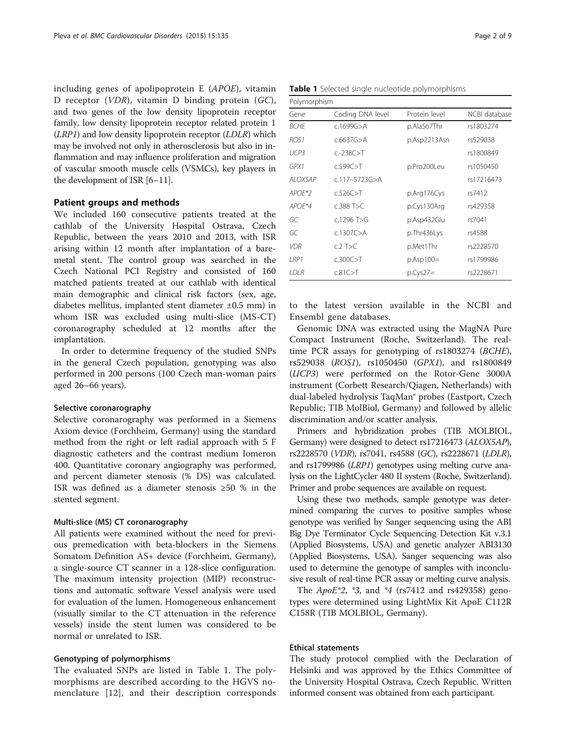including genes of apolipoprotein E (APOE), vitamin D receptor (VDR), vitamin D binding protein (GC), and two genes of the low density lipoprotein receptor family, low density lipoprotein receptor related protein 1 (LRP1) and low density lipoprotein receptor (LDLR) which may be involved not only in atherosclerosis but also in inflammation and may influence proliferation and migration of vascular smooth muscle cells (VSMCs), key players in the development of ISR [\[6](#page-7-0)–[11\]](#page-8-0).

# Patient groups and methods

We included 160 consecutive patients treated at the cathlab of the University Hospital Ostrava, Czech Republic, between the years 2010 and 2013, with ISR arising within 12 month after implantation of a baremetal stent. The control group was searched in the Czech National PCI Registry and consisted of 160 matched patients treated at our cathlab with identical main demographic and clinical risk factors (sex, age, diabetes mellitus, implanted stent diameter ±0.5 mm) in whom ISR was excluded using multi-slice (MS-CT) coronarography scheduled at 12 months after the implantation.

In order to determine frequency of the studied SNPs in the general Czech population, genotyping was also performed in 200 persons (100 Czech man-woman pairs aged 26–66 years).

# Selective coronarography

Selective coronarography was performed in a Siemens Axiom device (Forchheim, Germany) using the standard method from the right or left radial approach with 5 F diagnostic catheters and the contrast medium Iomeron 400. Quantitative coronary angiography was performed, and percent diameter stenosis (% DS) was calculated. ISR was defined as a diameter stenosis ≥50 % in the stented segment.

# Multi-slice (MS) CT coronarography

All patients were examined without the need for previous premedication with beta-blockers in the Siemens Somatom Definition AS+ device (Forchheim, Germany), a single-source CT scanner in a 128-slice configuration. The maximum intensity projection (MIP) reconstructions and automatic software Vessel analysis were used for evaluation of the lumen. Homogeneous enhancement (visually similar to the CT attenuation in the reference vessels) inside the stent lumen was considered to be normal or unrelated to ISR.

# Genotyping of polymorphisms

The evaluated SNPs are listed in Table 1. The polymorphisms are described according to the HGVS nomenclature [\[12](#page-8-0)], and their description corresponds

Table 1 Selected single nucleotide polymorphisms

| Polymorphism             |                     |               |               |  |  |
|--------------------------|---------------------|---------------|---------------|--|--|
| Coding DNA level<br>Gene |                     | Protein level | NCBI database |  |  |
| <b>BCHF</b>              | c.1699G > A         | p.Ala567Thr   | rs1803274     |  |  |
| ROS <sub>1</sub>         | c.6637G > A         | p.Asp2213Asn  | rs529038      |  |  |
| UCP3                     | $c - 238C > T$      |               | rs1800849     |  |  |
| GPX1                     | c.599C>T            | p.Pro200Leu   | rs1050450     |  |  |
| ALOX5AP                  | $c.117 - 5723G > A$ |               | rs17216473    |  |  |
| $APOF*2$                 | $c.526C>$ T         | p.Arg176Cys   | rs7412        |  |  |
| $APOF*4$                 | $c.388$ T $>c$      | p.Cys130Arg   | rs429358      |  |  |
| GC                       | $c.1296$ T>G        | p.Asp432Glu   | rs7041        |  |  |
| GC                       | c.1307C > A         | p.Thr436Lys   | rs4588        |  |  |
| <b>VDR</b>               | $c$ 2 T>C           | p.Met1Thr     | rs2228570     |  |  |
| IRP1                     | c.300C > T          | $p.Asp100=$   | rs1799986     |  |  |
| I DI R                   | c.81C > T           | $p.Cys27=$    | rs2228671     |  |  |

to the latest version available in the NCBI and Ensembl gene databases.

Genomic DNA was extracted using the MagNA Pure Compact Instrument (Roche, Switzerland). The realtime PCR assays for genotyping of rs1803274 (BCHE), rs529038 (ROS1), rs1050450 (GPX1), and rs1800849 (UCP3) were performed on the Rotor-Gene 3000A instrument (Corbett Research/Qiagen, Netherlands) with dual-labeled hydrolysis TaqMan® probes (Eastport, Czech Republic; TIB MolBiol, Germany) and followed by allelic discrimination and/or scatter analysis.

Primers and hybridization probes (TIB MOLBIOL, Germany) were designed to detect rs17216473 (ALOX5AP), rs2228570 (VDR), rs7041, rs4588 (GC), rs2228671 (LDLR), and rs1799986 (LRP1) genotypes using melting curve analysis on the LightCycler 480 II system (Roche, Switzerland). Primer and probe sequences are available on request.

Using these two methods, sample genotype was determined comparing the curves to positive samples whose genotype was verified by Sanger sequencing using the ABI Big Dye Terminator Cycle Sequencing Detection Kit v.3.1 (Applied Biosystems, USA) and genetic analyzer ABI3130 (Applied Biosystems, USA). Sanger sequencing was also used to determine the genotype of samples with inconclusive result of real-time PCR assay or melting curve analysis.

The  $ApoE*2$ ,  $*3$ , and  $*4$  (rs7412 and rs429358) genotypes were determined using LightMix Kit ApoE C112R C158R (TIB MOLBIOL, Germany).

# Ethical statements

The study protocol complied with the Declaration of Helsinki and was approved by the Ethics Committee of the University Hospital Ostrava, Czech Republic. Written informed consent was obtained from each participant.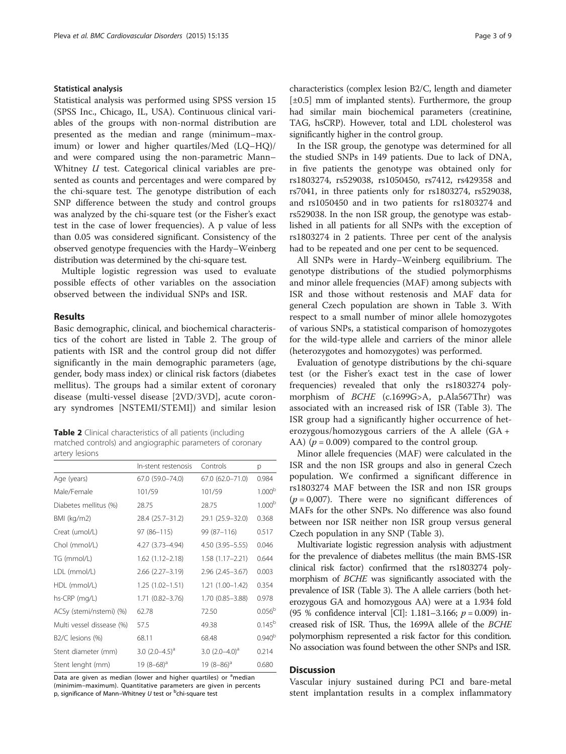# Statistical analysis

Statistical analysis was performed using SPSS version 15 (SPSS Inc., Chicago, IL, USA). Continuous clinical variables of the groups with non-normal distribution are presented as the median and range (minimum–maximum) or lower and higher quartiles/Med (LQ–HQ)/ and were compared using the non-parametric Mann– Whitney *U* test. Categorical clinical variables are presented as counts and percentages and were compared by the chi-square test. The genotype distribution of each SNP difference between the study and control groups was analyzed by the chi-square test (or the Fisher's exact test in the case of lower frequencies). A p value of less than 0.05 was considered significant. Consistency of the observed genotype frequencies with the Hardy–Weinberg distribution was determined by the chi-square test.

Multiple logistic regression was used to evaluate possible effects of other variables on the association observed between the individual SNPs and ISR.

# Results

Basic demographic, clinical, and biochemical characteristics of the cohort are listed in Table 2. The group of patients with ISR and the control group did not differ significantly in the main demographic parameters (age, gender, body mass index) or clinical risk factors (diabetes mellitus). The groups had a similar extent of coronary disease (multi-vessel disease [2VD/3VD], acute coronary syndromes [NSTEMI/STEMI]) and similar lesion

Table 2 Clinical characteristics of all patients (including matched controls) and angiographic parameters of coronary artery lesions

|                               | In-stent restenosis    | Controls            | p                  |
|-------------------------------|------------------------|---------------------|--------------------|
| Age (years)                   | 67.0 (59.0-74.0)       | 67.0 (62.0-71.0)    | 0.984              |
| Male/Female                   | 101/59                 | 101/59              | 1.000 <sup>b</sup> |
| Diabetes mellitus (%)         | 28.75                  | 28.75               | 1.000 <sup>b</sup> |
| BMI (kg/m2)                   | 28.4 (25.7–31.2)       | 29.1 (25.9-32.0)    | 0.368              |
| Creat (umol/L)                | $97(86 - 115)$         | 99 (87-116)         | 0.517              |
| Chol (mmol/L)                 | 4.27 (3.73-4.94)       | $4.50(3.95 - 5.55)$ | 0.046              |
| TG (mmol/L)                   | $1.62(1.12 - 2.18)$    | $1.58(1.17 - 2.21)$ | 0.644              |
| LDL (mmol/L)                  | $2.66$ $(2.27 - 3.19)$ | $2.96(2.45 - 3.67)$ | 0.003              |
| HDL (mmol/L)                  | $1.25(1.02 - 1.51)$    | $1.21(1.00-1.42)$   | 0.354              |
| hs-CRP (mg/L)                 | 1.71 (0.82-3.76)       | 1.70 (0.85-3.88)    | 0.978              |
| ACSy (stemi/nstemi) (%)       | 62.78                  | 72.50               | $0.056^{b}$        |
| Multi vessel dissease (%)     | 57.5                   | 49.38               | $0.145^{b}$        |
| B <sub>2</sub> /C lesions (%) | 68.11                  | 68.48               | 0.940 <sup>b</sup> |
| Stent diameter (mm)           | 3.0 $(2.0-4.5)^{d}$    | 3.0 $(2.0-4.0)^{d}$ | 0.214              |
| Stent lenght (mm)             | 19 $(8-68)^a$          | 19 $(8-86)^a$       | 0.680              |

Data are given as median (lower and higher quartiles) or <sup>a</sup>median (minimim–maximum). Quantitative parameters are given in percents p, significance of Mann–Whitney U test or <sup>b</sup>chi-square test

characteristics (complex lesion B2/C, length and diameter  $[\pm 0.5]$  mm of implanted stents). Furthermore, the group had similar main biochemical parameters (creatinine, TAG, hsCRP). However, total and LDL cholesterol was significantly higher in the control group.

In the ISR group, the genotype was determined for all the studied SNPs in 149 patients. Due to lack of DNA, in five patients the genotype was obtained only for rs1803274, rs529038, rs1050450, rs7412, rs429358 and rs7041, in three patients only for rs1803274, rs529038, and rs1050450 and in two patients for rs1803274 and rs529038. In the non ISR group, the genotype was established in all patients for all SNPs with the exception of rs1803274 in 2 patients. Three per cent of the analysis had to be repeated and one per cent to be sequenced.

All SNPs were in Hardy–Weinberg equilibrium. The genotype distributions of the studied polymorphisms and minor allele frequencies (MAF) among subjects with ISR and those without restenosis and MAF data for general Czech population are shown in Table [3.](#page-3-0) With respect to a small number of minor allele homozygotes of various SNPs, a statistical comparison of homozygotes for the wild-type allele and carriers of the minor allele (heterozygotes and homozygotes) was performed.

Evaluation of genotype distributions by the chi-square test (or the Fisher's exact test in the case of lower frequencies) revealed that only the rs1803274 polymorphism of BCHE (c.1699G>A, p.Ala567Thr) was associated with an increased risk of ISR (Table [3\)](#page-3-0). The ISR group had a significantly higher occurrence of heterozygous/homozygous carriers of the A allele (GA + AA) ( $p = 0.009$ ) compared to the control group.

Minor allele frequencies (MAF) were calculated in the ISR and the non ISR groups and also in general Czech population. We confirmed a significant difference in rs1803274 MAF between the ISR and non ISR groups  $(p = 0.007)$ . There were no significant differences of MAFs for the other SNPs. No difference was also found between nor ISR neither non ISR group versus general Czech population in any SNP (Table [3](#page-3-0)).

Multivariate logistic regression analysis with adjustment for the prevalence of diabetes mellitus (the main BMS-ISR clinical risk factor) confirmed that the rs1803274 polymorphism of BCHE was significantly associated with the prevalence of ISR (Table [3](#page-3-0)). The A allele carriers (both heterozygous GA and homozygous AA) were at a 1.934 fold (95 % confidence interval [CI]: 1.181–3.166;  $p = 0.009$ ) increased risk of ISR. Thus, the 1699A allele of the BCHE polymorphism represented a risk factor for this condition. No association was found between the other SNPs and ISR.

# **Discussion**

Vascular injury sustained during PCI and bare-metal stent implantation results in a complex inflammatory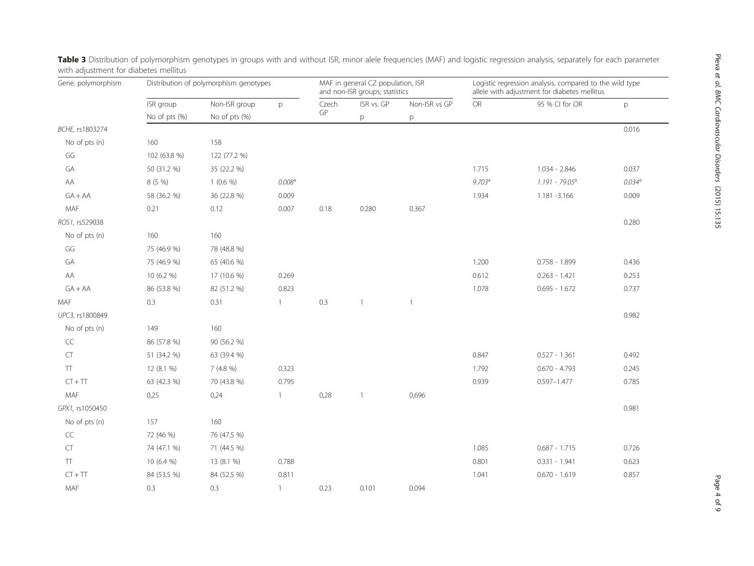| Gene, polymorphism | Distribution of polymorphism genotypes |                                |                    | MAF in general CZ population, ISR<br>and non-ISR groups; statistics |                 |               | Logistic regression analysis, compared to the wild type<br>allele with adjustment for diabetes mellitus |                   |                    |
|--------------------|----------------------------------------|--------------------------------|--------------------|---------------------------------------------------------------------|-----------------|---------------|---------------------------------------------------------------------------------------------------------|-------------------|--------------------|
|                    | ISR group                              | Non-ISR group<br>No of pts (%) | p                  | Czech<br>GP                                                         | ISR vs. GP<br>p | Non-ISR vs GP | OR                                                                                                      | 95 % CI for OR    | p                  |
|                    | No of pts (%)                          |                                |                    |                                                                     |                 | p             |                                                                                                         |                   |                    |
| BCHE, rs1803274    |                                        |                                |                    |                                                                     |                 |               |                                                                                                         |                   | 0.016              |
| No of pts (n)      | 160                                    | 158                            |                    |                                                                     |                 |               |                                                                                                         |                   |                    |
| GG                 | 102 (63.8 %)                           | 122 (77.2 %)                   |                    |                                                                     |                 |               |                                                                                                         |                   |                    |
| GA                 | 50 (31.2 %)                            | 35 (22.2 %)                    |                    |                                                                     |                 |               | 1.715                                                                                                   | 1.034 - 2.846     | 0.037              |
| AA                 | 8 (5 %)                                | $1(0.6\%)$                     | 0.008 <sup>a</sup> |                                                                     |                 |               | 9.703 <sup>a</sup>                                                                                      | $1.191 - 79.05^a$ | 0.034 <sup>a</sup> |
| $GA+AA$            | 58 (36.2 %)                            | 36 (22.8 %)                    | 0.009              |                                                                     |                 |               | 1.934                                                                                                   | 1.181 - 3.166     | 0.009              |
| MAF                | 0.21                                   | 0.12                           | 0.007              | 0.18                                                                | 0.280           | 0.367         |                                                                                                         |                   |                    |
| ROS1, rs529038     |                                        |                                |                    |                                                                     |                 |               |                                                                                                         |                   | 0.280              |
| No of pts (n)      | 160                                    | 160                            |                    |                                                                     |                 |               |                                                                                                         |                   |                    |
| GG                 | 75 (46.9 %)                            | 78 (48.8 %)                    |                    |                                                                     |                 |               |                                                                                                         |                   |                    |
| GA                 | 75 (46.9 %)                            | 65 (40.6 %)                    |                    |                                                                     |                 |               | 1.200                                                                                                   | $0.758 - 1.899$   | 0.436              |
| AA                 | 10 (6.2 %)                             | 17 (10.6 %)                    | 0.269              |                                                                     |                 |               | 0.612                                                                                                   | $0.263 - 1.421$   | 0.253              |
| $GA + AA$          | 86 (53.8 %)                            | 82 (51.2 %)                    | 0.823              |                                                                     |                 |               | 1.078                                                                                                   | $0.695 - 1.672$   | 0.737              |
| MAF                | 0.3                                    | 0.31                           | $\mathbf{1}$       | 0.3                                                                 | $\mathbf{1}$    | $\mathbf{1}$  |                                                                                                         |                   |                    |
| UPC3, rs1800849    |                                        |                                |                    |                                                                     |                 |               |                                                                                                         |                   | 0.982              |
| No of pts (n)      | 149                                    | 160                            |                    |                                                                     |                 |               |                                                                                                         |                   |                    |
| CC                 | 86 (57.8 %)                            | 90 (56.2 %)                    |                    |                                                                     |                 |               |                                                                                                         |                   |                    |
| <b>CT</b>          | 51 (34.2 %)                            | 63 (39.4 %)                    |                    |                                                                     |                 |               | 0.847                                                                                                   | $0.527 - 1.361$   | 0.492              |
| $\top\top$         | 12 (8.1 %)                             | 7(4.8%)                        | 0.323              |                                                                     |                 |               | 1.792                                                                                                   | $0.670 - 4.793$   | 0.245              |
| $CT + TT$          | 63 (42.3 %)                            | 70 (43.8 %)                    | 0.795              |                                                                     |                 |               | 0.939                                                                                                   | $0.597 - 1.477$   | 0.785              |
| MAF                | 0,25                                   | 0,24                           | $\mathbf{1}$       | 0,28                                                                | 1               | 0,696         |                                                                                                         |                   |                    |
| GPX1, rs1050450    |                                        |                                |                    |                                                                     |                 |               |                                                                                                         |                   | 0.981              |
| No of pts (n)      | 157                                    | 160                            |                    |                                                                     |                 |               |                                                                                                         |                   |                    |
| CC                 | 72 (46 %)                              | 76 (47.5 %)                    |                    |                                                                     |                 |               |                                                                                                         |                   |                    |
| CT                 | 74 (47.1 %)                            | 71 (44.5 %)                    |                    |                                                                     |                 |               | 1.085                                                                                                   | $0.687 - 1.715$   | 0.726              |
| $\top$             | 10 (6.4 %)                             | 13 (8.1 %)                     | 0.788              |                                                                     |                 |               | 0.801                                                                                                   | $0.331 - 1.941$   | 0.623              |
| $CT + TT$          | 84 (53.5 %)                            | 84 (52.5 %)                    | 0.811              |                                                                     |                 |               | 1.041                                                                                                   | $0.670 - 1.619$   | 0.857              |
| MAF                | 0.3                                    | 0.3                            | $\mathbf{1}$       | 0.23                                                                | 0.101           | 0.094         |                                                                                                         |                   |                    |

<span id="page-3-0"></span>Table 3 Distribution of polymorphism genotypes in groups with and without ISR, minor alele frequencies (MAF) and logistic regression analysis, separately for each parameter with adjustment for diabetes mellitus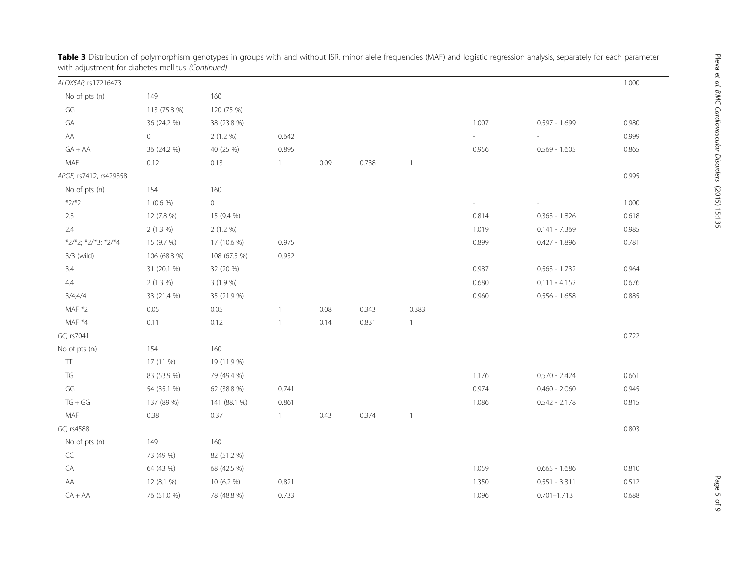| <i>vital adjustment for diabetes memias (commaca)</i> |              |              |              |      |       |                          |                          |                 |       |
|-------------------------------------------------------|--------------|--------------|--------------|------|-------|--------------------------|--------------------------|-----------------|-------|
| ALOX5AP, rs17216473                                   |              |              |              |      |       |                          |                          |                 | 1.000 |
| No of pts (n)                                         | 149          | 160          |              |      |       |                          |                          |                 |       |
| GG                                                    | 113 (75.8 %) | 120 (75 %)   |              |      |       |                          |                          |                 |       |
| GA                                                    | 36 (24.2 %)  | 38 (23.8 %)  |              |      |       |                          | 1.007                    | $0.597 - 1.699$ | 0.980 |
| AA                                                    | $\circ$      | 2(1.2 %)     | 0.642        |      |       |                          | $\overline{\phantom{a}}$ |                 | 0.999 |
| $GA + AA$                                             | 36 (24.2 %)  | 40 (25 %)    | 0.895        |      |       |                          | 0.956                    | $0.569 - 1.605$ | 0.865 |
| MAF                                                   | 0.12         | 0.13         | $\mathbf{1}$ | 0.09 | 0.738 | $\mathbf{1}$             |                          |                 |       |
| APOE, rs7412, rs429358                                |              |              |              |      |       |                          |                          |                 | 0.995 |
| No of pts (n)                                         | 154          | 160          |              |      |       |                          |                          |                 |       |
| $*2/*2$                                               | $1(0.6\%)$   | $\circ$      |              |      |       |                          | $\overline{\phantom{a}}$ |                 | 1.000 |
| 2.3                                                   | 12 (7.8 %)   | 15 (9.4 %)   |              |      |       |                          | 0.814                    | $0.363 - 1.826$ | 0.618 |
| 2.4                                                   | $2(1.3\%)$   | 2(1.2 %)     |              |      |       |                          | 1.019                    | $0.141 - 7.369$ | 0.985 |
| *2/*2; *2/*3; *2/*4                                   | 15 (9.7 %)   | 17 (10.6 %)  | 0.975        |      |       |                          | 0.899                    | $0.427 - 1.896$ | 0.781 |
| 3/3 (wild)                                            | 106 (68.8 %) | 108 (67.5 %) | 0.952        |      |       |                          |                          |                 |       |
| 3.4                                                   | 31 (20.1 %)  | 32 (20 %)    |              |      |       |                          | 0.987                    | $0.563 - 1.732$ | 0.964 |
| 4.4                                                   | 2(1.3%)      | 3 (1.9 %)    |              |      |       |                          | 0.680                    | $0.111 - 4.152$ | 0.676 |
| 3/4;4/4                                               | 33 (21.4 %)  | 35 (21.9 %)  |              |      |       |                          | 0.960                    | $0.556 - 1.658$ | 0.885 |
| MAF *2                                                | 0.05         | 0.05         | $\mathbf{1}$ | 0.08 | 0.343 | 0.383                    |                          |                 |       |
| MAF *4                                                | 0.11         | 0.12         | $\mathbf{1}$ | 0.14 | 0.831 | $\mathbf{1}$             |                          |                 |       |
| GC, rs7041                                            |              |              |              |      |       |                          |                          |                 | 0.722 |
| No of pts (n)                                         | 154          | 160          |              |      |       |                          |                          |                 |       |
| TΤ                                                    | 17 (11 %)    | 19 (11.9 %)  |              |      |       |                          |                          |                 |       |
| TG                                                    | 83 (53.9 %)  | 79 (49.4 %)  |              |      |       |                          | 1.176                    | $0.570 - 2.424$ | 0.661 |
| GG                                                    | 54 (35.1 %)  | 62 (38.8 %)  | 0.741        |      |       |                          | 0.974                    | $0.460 - 2.060$ | 0.945 |
| $TG + GG$                                             | 137 (89 %)   | 141 (88.1 %) | 0.861        |      |       |                          | 1.086                    | $0.542 - 2.178$ | 0.815 |
| MAF                                                   | 0.38         | 0.37         | $\mathbf{1}$ | 0.43 | 0.374 | $\overline{\phantom{a}}$ |                          |                 |       |
| GC, rs4588                                            |              |              |              |      |       |                          |                          |                 | 0.803 |
| No of pts (n)                                         | 149          | 160          |              |      |       |                          |                          |                 |       |
| CC                                                    | 73 (49 %)    | 82 (51.2 %)  |              |      |       |                          |                          |                 |       |
| $\mathsf{CA}$                                         | 64 (43 %)    | 68 (42.5 %)  |              |      |       |                          | 1.059                    | $0.665 - 1.686$ | 0.810 |
| AA                                                    | 12 (8.1 %)   | 10 (6.2 %)   | 0.821        |      |       |                          | 1.350                    | $0.551 - 3.311$ | 0.512 |
| $CA + AA$                                             | 76 (51.0 %)  | 78 (48.8 %)  | 0.733        |      |       |                          | 1.096                    | $0.701 - 1.713$ | 0.688 |

**Table 3** Distribution of polymorphism genotypes in groups with and without ISR, minor alele frequencies (MAF) and logistic regression analysis, separately for each parameter with adjustment for diabetes mellitus (Continued)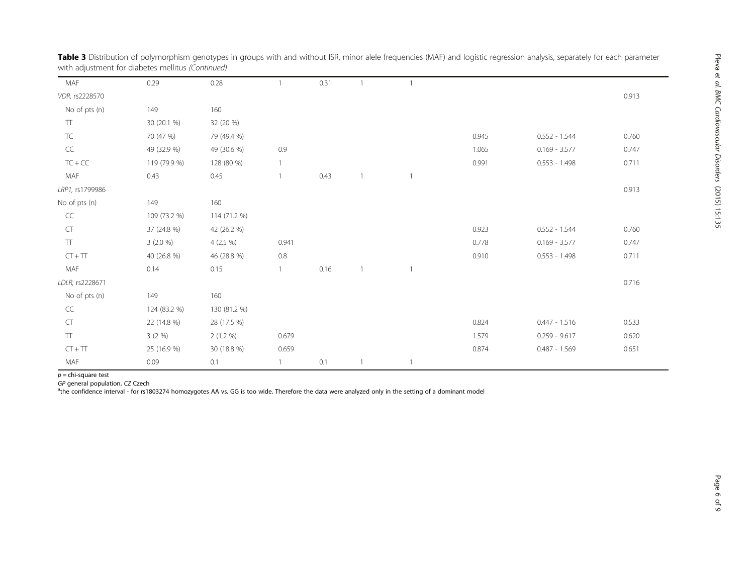| MAF               | 0.29         | 0.28         |       | 0.31 |              |                |       |                 |       |
|-------------------|--------------|--------------|-------|------|--------------|----------------|-------|-----------------|-------|
| VDR, rs2228570    |              |              |       |      |              |                |       |                 | 0.913 |
| No of pts (n)     | 149          | 160          |       |      |              |                |       |                 |       |
| $\top\top$        | 30 (20.1 %)  | 32 (20 %)    |       |      |              |                |       |                 |       |
| ${\sf TC}$        | 70 (47 %)    | 79 (49.4 %)  |       |      |              |                | 0.945 | $0.552 - 1.544$ | 0.760 |
| $\subset \subset$ | 49 (32.9 %)  | 49 (30.6 %)  | 0.9   |      |              |                | 1.065 | $0.169 - 3.577$ | 0.747 |
| $TC + CC$         | 119 (79.9 %) | 128 (80 %)   |       |      |              |                | 0.991 | $0.553 - 1.498$ | 0.711 |
| MAF               | 0.43         | 0.45         |       | 0.43 |              | $\overline{1}$ |       |                 |       |
| LRP1, rs1799986   |              |              |       |      |              |                |       |                 | 0.913 |
| No of pts (n)     | 149          | 160          |       |      |              |                |       |                 |       |
| $\subset\subset$  | 109 (73.2 %) | 114 (71.2 %) |       |      |              |                |       |                 |       |
| CT                | 37 (24.8 %)  | 42 (26.2 %)  |       |      |              |                | 0.923 | $0.552 - 1.544$ | 0.760 |
| $\top$            | 3(2.0%)      | $4(2.5\%)$   | 0.941 |      |              |                | 0.778 | $0.169 - 3.577$ | 0.747 |
| $CT + TT$         | 40 (26.8 %)  | 46 (28.8 %)  | 0.8   |      |              |                | 0.910 | $0.553 - 1.498$ | 0.711 |
| MAF               | 0.14         | 0.15         |       | 0.16 | $\mathbf{1}$ | $\mathbf{1}$   |       |                 |       |
| LDLR, rs2228671   |              |              |       |      |              |                |       |                 | 0.716 |
| No of pts (n)     | 149          | 160          |       |      |              |                |       |                 |       |
| $\sf CC$          | 124 (83.2 %) | 130 (81.2 %) |       |      |              |                |       |                 |       |
| CT                | 22 (14.8 %)  | 28 (17.5 %)  |       |      |              |                | 0.824 | $0.447 - 1.516$ | 0.533 |
| $\top$            | 3(2%)        | $2(1.2\%)$   | 0.679 |      |              |                | 1.579 | $0.259 - 9.617$ | 0.620 |
| $CT + TT$         | 25 (16.9 %)  | 30 (18.8 %)  | 0.659 |      |              |                | 0.874 | $0.487 - 1.569$ | 0.651 |
| MAF               | 0.09         | 0.1          |       | 0.1  |              | $\overline{1}$ |       |                 |       |
|                   |              |              |       |      |              |                |       |                 |       |

Table 3 Distribution of polymorphism genotypes in groups with and without ISR, minor alele frequencies (MAF) and logistic regression analysis, separately for each parameter with adjustment for diabetes mellitus (Continued)

 $p =$ chi-square test

GP general population, CZ Czech <sup>a</sup>

<sup>a</sup>the confidence interval - for rs1803274 homozygotes AA vs. GG is too wide. Therefore the data were analyzed only in the setting of a dominant model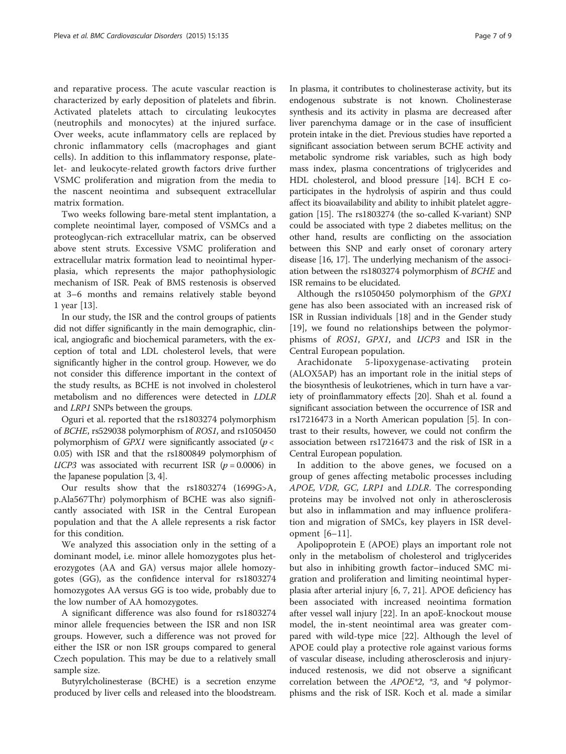and reparative process. The acute vascular reaction is characterized by early deposition of platelets and fibrin. Activated platelets attach to circulating leukocytes (neutrophils and monocytes) at the injured surface. Over weeks, acute inflammatory cells are replaced by chronic inflammatory cells (macrophages and giant cells). In addition to this inflammatory response, platelet- and leukocyte-related growth factors drive further VSMC proliferation and migration from the media to the nascent neointima and subsequent extracellular matrix formation.

Two weeks following bare-metal stent implantation, a complete neointimal layer, composed of VSMCs and a proteoglycan-rich extracellular matrix, can be observed above stent struts. Excessive VSMC proliferation and extracellular matrix formation lead to neointimal hyperplasia, which represents the major pathophysiologic mechanism of ISR. Peak of BMS restenosis is observed at 3–6 months and remains relatively stable beyond 1 year [[13](#page-8-0)].

In our study, the ISR and the control groups of patients did not differ significantly in the main demographic, clinical, angiografic and biochemical parameters, with the exception of total and LDL cholesterol levels, that were significantly higher in the control group. However, we do not consider this difference important in the context of the study results, as BCHE is not involved in cholesterol metabolism and no differences were detected in LDLR and LRP1 SNPs between the groups.

Oguri et al. reported that the rs1803274 polymorphism of BCHE, rs529038 polymorphism of ROS1, and rs1050450 polymorphism of  $GPX1$  were significantly associated ( $p <$ 0.05) with ISR and that the rs1800849 polymorphism of UCP3 was associated with recurrent ISR ( $p = 0.0006$ ) in the Japanese population [[3](#page-7-0), [4\]](#page-7-0).

Our results show that the rs1803274 (1699G>A, p.Ala567Thr) polymorphism of BCHE was also significantly associated with ISR in the Central European population and that the A allele represents a risk factor for this condition.

We analyzed this association only in the setting of a dominant model, i.e. minor allele homozygotes plus heterozygotes (AA and GA) versus major allele homozygotes (GG), as the confidence interval for rs1803274 homozygotes AA versus GG is too wide, probably due to the low number of AA homozygotes.

A significant difference was also found for rs1803274 minor allele frequencies between the ISR and non ISR groups. However, such a difference was not proved for either the ISR or non ISR groups compared to general Czech population. This may be due to a relatively small sample size.

Butyrylcholinesterase (BCHE) is a secretion enzyme produced by liver cells and released into the bloodstream.

In plasma, it contributes to cholinesterase activity, but its endogenous substrate is not known. Cholinesterase synthesis and its activity in plasma are decreased after liver parenchyma damage or in the case of insufficient protein intake in the diet. Previous studies have reported a significant association between serum BCHE activity and metabolic syndrome risk variables, such as high body mass index, plasma concentrations of triglycerides and HDL cholesterol, and blood pressure [\[14\]](#page-8-0). BCH E coparticipates in the hydrolysis of aspirin and thus could affect its bioavailability and ability to inhibit platelet aggregation [\[15\]](#page-8-0). The rs1803274 (the so-called K-variant) SNP could be associated with type 2 diabetes mellitus; on the other hand, results are conflicting on the association between this SNP and early onset of coronary artery disease [[16](#page-8-0), [17](#page-8-0)]. The underlying mechanism of the association between the rs1803274 polymorphism of BCHE and ISR remains to be elucidated.

Although the rs1050450 polymorphism of the GPX1 gene has also been associated with an increased risk of ISR in Russian individuals [[18\]](#page-8-0) and in the Gender study [[19\]](#page-8-0), we found no relationships between the polymorphisms of ROS1, GPX1, and UCP3 and ISR in the Central European population.

Arachidonate 5-lipoxygenase-activating protein (ALOX5AP) has an important role in the initial steps of the biosynthesis of leukotrienes, which in turn have a variety of proinflammatory effects [\[20\]](#page-8-0). Shah et al. found a significant association between the occurrence of ISR and rs17216473 in a North American population [[5](#page-7-0)]. In contrast to their results, however, we could not confirm the association between rs17216473 and the risk of ISR in a Central European population.

In addition to the above genes, we focused on a group of genes affecting metabolic processes including APOE, VDR, GC, LRP1 and LDLR. The corresponding proteins may be involved not only in atherosclerosis but also in inflammation and may influence proliferation and migration of SMCs, key players in ISR development [[6](#page-7-0)–[11\]](#page-8-0).

Apolipoprotein E (APOE) plays an important role not only in the metabolism of cholesterol and triglycerides but also in inhibiting growth factor–induced SMC migration and proliferation and limiting neointimal hyperplasia after arterial injury [\[6](#page-7-0), [7](#page-8-0), [21](#page-8-0)]. APOE deficiency has been associated with increased neointima formation after vessel wall injury [\[22\]](#page-8-0). In an apoE-knockout mouse model, the in-stent neointimal area was greater compared with wild-type mice [[22\]](#page-8-0). Although the level of APOE could play a protective role against various forms of vascular disease, including atherosclerosis and injuryinduced restenosis, we did not observe a significant correlation between the APOE\*2, \*3, and \*4 polymorphisms and the risk of ISR. Koch et al. made a similar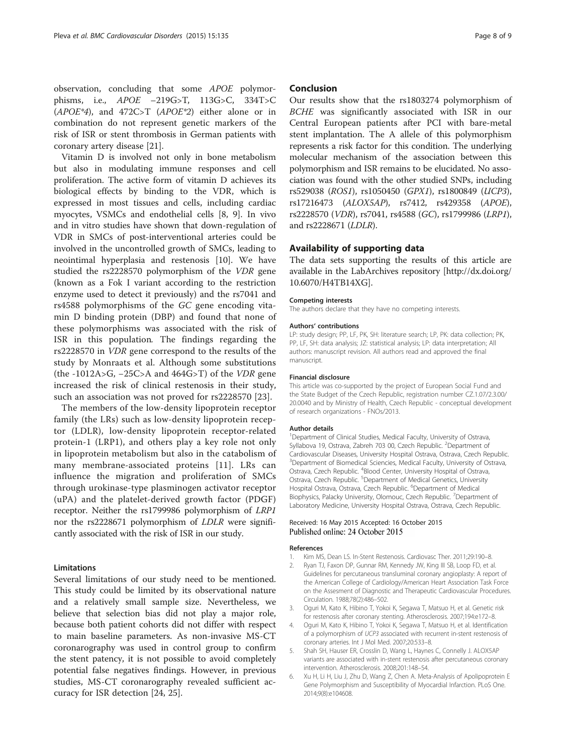<span id="page-7-0"></span>Vitamin D is involved not only in bone metabolism but also in modulating immune responses and cell proliferation. The active form of vitamin D achieves its biological effects by binding to the VDR, which is expressed in most tissues and cells, including cardiac myocytes, VSMCs and endothelial cells [\[8](#page-8-0), [9](#page-8-0)]. In vivo and in vitro studies have shown that down-regulation of VDR in SMCs of post-interventional arteries could be involved in the uncontrolled growth of SMCs, leading to neointimal hyperplasia and restenosis [[10\]](#page-8-0). We have studied the rs2228570 polymorphism of the VDR gene (known as a Fok I variant according to the restriction enzyme used to detect it previously) and the rs7041 and rs4588 polymorphisms of the GC gene encoding vitamin D binding protein (DBP) and found that none of these polymorphisms was associated with the risk of ISR in this population. The findings regarding the rs2228570 in VDR gene correspond to the results of the study by Monraats et al. Although some substitutions (the -1012A>G,  $-25C$ >A and  $464G$ >T) of the *VDR* gene increased the risk of clinical restenosis in their study, such an association was not proved for rs2228570 [[23](#page-8-0)].

The members of the low-density lipoprotein receptor family (the LRs) such as low-density lipoprotein receptor (LDLR), low-density lipoprotein receptor-related protein-1 (LRP1), and others play a key role not only in lipoprotein metabolism but also in the catabolism of many membrane-associated proteins [\[11](#page-8-0)]. LRs can influence the migration and proliferation of SMCs through urokinase-type plasminogen activator receptor (uPA) and the platelet-derived growth factor (PDGF) receptor. Neither the rs1799986 polymorphism of LRP1 nor the rs2228671 polymorphism of LDLR were significantly associated with the risk of ISR in our study.

# Limitations

Several limitations of our study need to be mentioned. This study could be limited by its observational nature and a relatively small sample size. Nevertheless, we believe that selection bias did not play a major role, because both patient cohorts did not differ with respect to main baseline parameters. As non-invasive MS-CT coronarography was used in control group to confirm the stent patency, it is not possible to avoid completely potential false negatives findings. However, in previous studies, MS-CT coronarography revealed sufficient accuracy for ISR detection [\[24, 25\]](#page-8-0).

# Conclusion

Our results show that the rs1803274 polymorphism of BCHE was significantly associated with ISR in our Central European patients after PCI with bare-metal stent implantation. The A allele of this polymorphism represents a risk factor for this condition. The underlying molecular mechanism of the association between this polymorphism and ISR remains to be elucidated. No association was found with the other studied SNPs, including rs529038 (ROS1), rs1050450 (GPX1), rs1800849 (UCP3), rs17216473 (ALOX5AP), rs7412, rs429358 (APOE), rs2228570 (VDR), rs7041, rs4588 (GC), rs1799986 (LRP1), and rs2228671 (LDLR).

# Availability of supporting data

The data sets supporting the results of this article are available in the LabArchives repository [http://dx.doi.org/ [10.6070/H4TB14XG](http://dx.doi.org/10.6070/H4TB14XG)].

#### Competing interests

The authors declare that they have no competing interests.

#### Authors' contributions

LP: study design; PP, LF, PK, SH: literature search; LP, PK: data collection; PK, PP, LF, SH: data analysis; JZ: statistical analysis; LP: data interpretation; All authors: manuscript revision. All authors read and approved the final manuscript.

#### Financial disclosure

This article was co-supported by the project of European Social Fund and the State Budget of the Czech Republic, registration number CZ.1.07/2.3.00/ 20.0040 and by Ministry of Health, Czech Republic - conceptual development of research organizations - FNOs/2013.

#### Author details

<sup>1</sup>Department of Clinical Studies, Medical Faculty, University of Ostrava, Syllabova 19, Ostrava, Zabreh 703 00, Czech Republic. <sup>2</sup>Department of Cardiovascular Diseases, University Hospital Ostrava, Ostrava, Czech Republic. <sup>3</sup>Department of Biomedical Sciencies, Medical Faculty, University of Ostrava, Ostrava, Czech Republic. <sup>4</sup>Blood Center, University Hospital of Ostrava, Ostrava, Czech Republic. <sup>5</sup>Department of Medical Genetics, University Hospital Ostrava, Ostrava, Czech Republic. <sup>6</sup>Department of Medical Biophysics, Palacky University, Olomouc, Czech Republic.<sup>7</sup>Department of Laboratory Medicine, University Hospital Ostrava, Ostrava, Czech Republic.

# Received: 16 May 2015 Accepted: 16 October 2015 Published online: 24 October 2015

#### References

- Kim MS, Dean LS. In-Stent Restenosis. Cardiovasc Ther. 2011;29:190-8.
- Ryan TJ, Faxon DP, Gunnar RM, Kennedy JW, King III SB, Loop FD, et al. Guidelines for percutaneous transluminal coronary angioplasty: A report of the American College of Cardiology/American Heart Association Task Force on the Assesment of Diagnostic and Therapeutic Cardiovascular Procedures. Circulation. 1988;78(2):486–502.
- 3. Oguri M, Kato K, Hibino T, Yokoi K, Segawa T, Matsuo H, et al. Genetic risk for restenosis after coronary stenting. Atherosclerosis. 2007;194:e172–8.
- 4. Oguri M, Kato K, Hibino T, Yokoi K, Segawa T, Matsuo H, et al. Identification of a polymorphism of UCP3 associated with recurrent in-stent restenosis of coronary arteries. Int J Mol Med. 2007;20:533–8.
- 5. Shah SH, Hauser ER, Crosslin D, Wang L, Haynes C, Connelly J. ALOX5AP variants are associated with in-stent restenosis after percutaneous coronary intervention. Atherosclerosis. 2008;201:148–54.
- 6. Xu H, Li H, Liu J, Zhu D, Wang Z, Chen A. Meta-Analysis of Apolipoprotein E Gene Polymorphism and Susceptibility of Myocardial Infarction. PLoS One. 2014;9(8):e104608.